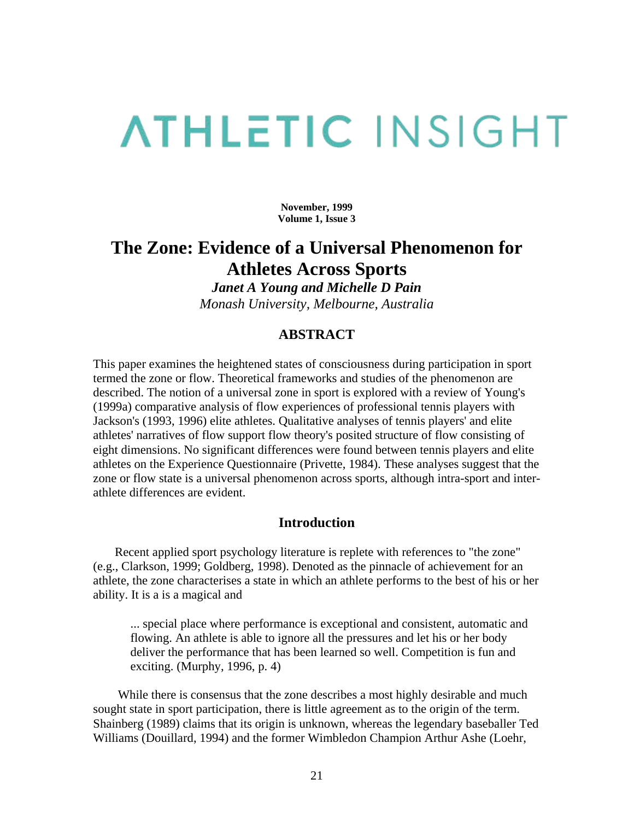# **ATHLETIC INSIGHT**

**November, 1999 Volume 1, Issue 3** 

# **The Zone: Evidence of a Universal Phenomenon for Athletes Across Sports**

*Janet A Young and Michelle D Pain Monash University, Melbourne, Australia* 

# **ABSTRACT**

This paper examines the heightened states of consciousness during participation in sport termed the zone or flow. Theoretical frameworks and studies of the phenomenon are described. The notion of a universal zone in sport is explored with a review of Young's (1999a) comparative analysis of flow experiences of professional tennis players with Jackson's (1993, 1996) elite athletes. Qualitative analyses of tennis players' and elite athletes' narratives of flow support flow theory's posited structure of flow consisting of eight dimensions. No significant differences were found between tennis players and elite athletes on the Experience Questionnaire (Privette, 1984). These analyses suggest that the zone or flow state is a universal phenomenon across sports, although intra-sport and interathlete differences are evident.

### **Introduction**

 Recent applied sport psychology literature is replete with references to "the zone" (e.g., Clarkson, 1999; Goldberg, 1998). Denoted as the pinnacle of achievement for an athlete, the zone characterises a state in which an athlete performs to the best of his or her ability. It is a is a magical and

... special place where performance is exceptional and consistent, automatic and flowing. An athlete is able to ignore all the pressures and let his or her body deliver the performance that has been learned so well. Competition is fun and exciting. (Murphy, 1996, p. 4)

 While there is consensus that the zone describes a most highly desirable and much sought state in sport participation, there is little agreement as to the origin of the term. Shainberg (1989) claims that its origin is unknown, whereas the legendary baseballer Ted Williams (Douillard, 1994) and the former Wimbledon Champion Arthur Ashe (Loehr,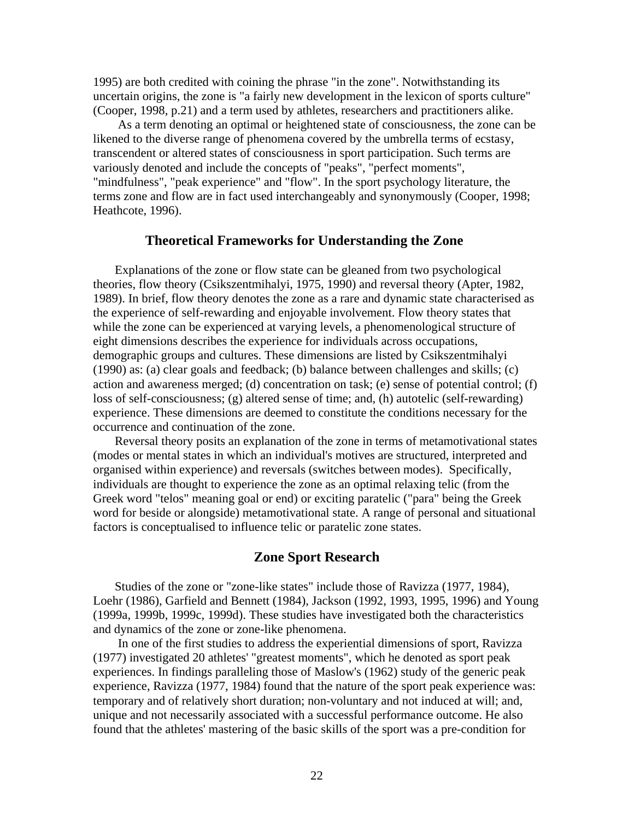1995) are both credited with coining the phrase "in the zone". Notwithstanding its uncertain origins, the zone is "a fairly new development in the lexicon of sports culture" (Cooper, 1998, p.21) and a term used by athletes, researchers and practitioners alike.

 As a term denoting an optimal or heightened state of consciousness, the zone can be likened to the diverse range of phenomena covered by the umbrella terms of ecstasy, transcendent or altered states of consciousness in sport participation. Such terms are variously denoted and include the concepts of "peaks", "perfect moments", "mindfulness", "peak experience" and "flow". In the sport psychology literature, the terms zone and flow are in fact used interchangeably and synonymously (Cooper, 1998; Heathcote, 1996).

#### **Theoretical Frameworks for Understanding the Zone**

 Explanations of the zone or flow state can be gleaned from two psychological theories, flow theory (Csikszentmihalyi, 1975, 1990) and reversal theory (Apter, 1982, 1989). In brief, flow theory denotes the zone as a rare and dynamic state characterised as the experience of self-rewarding and enjoyable involvement. Flow theory states that while the zone can be experienced at varying levels, a phenomenological structure of eight dimensions describes the experience for individuals across occupations, demographic groups and cultures. These dimensions are listed by Csikszentmihalyi (1990) as: (a) clear goals and feedback; (b) balance between challenges and skills; (c) action and awareness merged; (d) concentration on task; (e) sense of potential control; (f) loss of self-consciousness; (g) altered sense of time; and, (h) autotelic (self-rewarding) experience. These dimensions are deemed to constitute the conditions necessary for the occurrence and continuation of the zone.

 Reversal theory posits an explanation of the zone in terms of metamotivational states (modes or mental states in which an individual's motives are structured, interpreted and organised within experience) and reversals (switches between modes). Specifically, individuals are thought to experience the zone as an optimal relaxing telic (from the Greek word "telos" meaning goal or end) or exciting paratelic ("para" being the Greek word for beside or alongside) metamotivational state. A range of personal and situational factors is conceptualised to influence telic or paratelic zone states.

#### **Zone Sport Research**

 Studies of the zone or "zone-like states" include those of Ravizza (1977, 1984), Loehr (1986), Garfield and Bennett (1984), Jackson (1992, 1993, 1995, 1996) and Young (1999a, 1999b, 1999c, 1999d). These studies have investigated both the characteristics and dynamics of the zone or zone-like phenomena.

 In one of the first studies to address the experiential dimensions of sport, Ravizza (1977) investigated 20 athletes' "greatest moments", which he denoted as sport peak experiences. In findings paralleling those of Maslow's (1962) study of the generic peak experience, Ravizza (1977, 1984) found that the nature of the sport peak experience was: temporary and of relatively short duration; non-voluntary and not induced at will; and, unique and not necessarily associated with a successful performance outcome. He also found that the athletes' mastering of the basic skills of the sport was a pre-condition for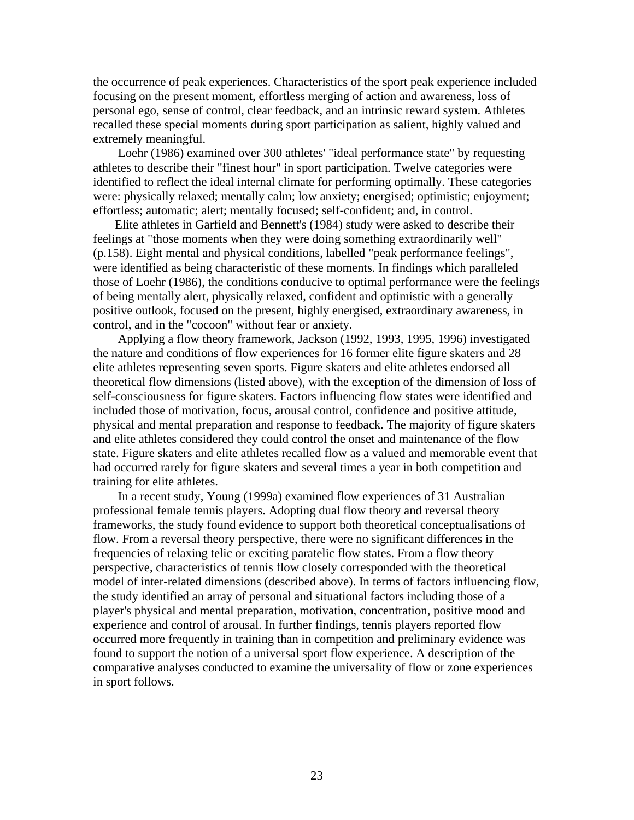the occurrence of peak experiences. Characteristics of the sport peak experience included focusing on the present moment, effortless merging of action and awareness, loss of personal ego, sense of control, clear feedback, and an intrinsic reward system. Athletes recalled these special moments during sport participation as salient, highly valued and extremely meaningful.

 Loehr (1986) examined over 300 athletes' "ideal performance state" by requesting athletes to describe their "finest hour" in sport participation. Twelve categories were identified to reflect the ideal internal climate for performing optimally. These categories were: physically relaxed; mentally calm; low anxiety; energised; optimistic; enjoyment; effortless; automatic; alert; mentally focused; self-confident; and, in control.

 Elite athletes in Garfield and Bennett's (1984) study were asked to describe their feelings at "those moments when they were doing something extraordinarily well" (p.158). Eight mental and physical conditions, labelled "peak performance feelings", were identified as being characteristic of these moments. In findings which paralleled those of Loehr (1986), the conditions conducive to optimal performance were the feelings of being mentally alert, physically relaxed, confident and optimistic with a generally positive outlook, focused on the present, highly energised, extraordinary awareness, in control, and in the "cocoon" without fear or anxiety.

 Applying a flow theory framework, Jackson (1992, 1993, 1995, 1996) investigated the nature and conditions of flow experiences for 16 former elite figure skaters and 28 elite athletes representing seven sports. Figure skaters and elite athletes endorsed all theoretical flow dimensions (listed above), with the exception of the dimension of loss of self-consciousness for figure skaters. Factors influencing flow states were identified and included those of motivation, focus, arousal control, confidence and positive attitude, physical and mental preparation and response to feedback. The majority of figure skaters and elite athletes considered they could control the onset and maintenance of the flow state. Figure skaters and elite athletes recalled flow as a valued and memorable event that had occurred rarely for figure skaters and several times a year in both competition and training for elite athletes.

 In a recent study, Young (1999a) examined flow experiences of 31 Australian professional female tennis players. Adopting dual flow theory and reversal theory frameworks, the study found evidence to support both theoretical conceptualisations of flow. From a reversal theory perspective, there were no significant differences in the frequencies of relaxing telic or exciting paratelic flow states. From a flow theory perspective, characteristics of tennis flow closely corresponded with the theoretical model of inter-related dimensions (described above). In terms of factors influencing flow, the study identified an array of personal and situational factors including those of a player's physical and mental preparation, motivation, concentration, positive mood and experience and control of arousal. In further findings, tennis players reported flow occurred more frequently in training than in competition and preliminary evidence was found to support the notion of a universal sport flow experience. A description of the comparative analyses conducted to examine the universality of flow or zone experiences in sport follows.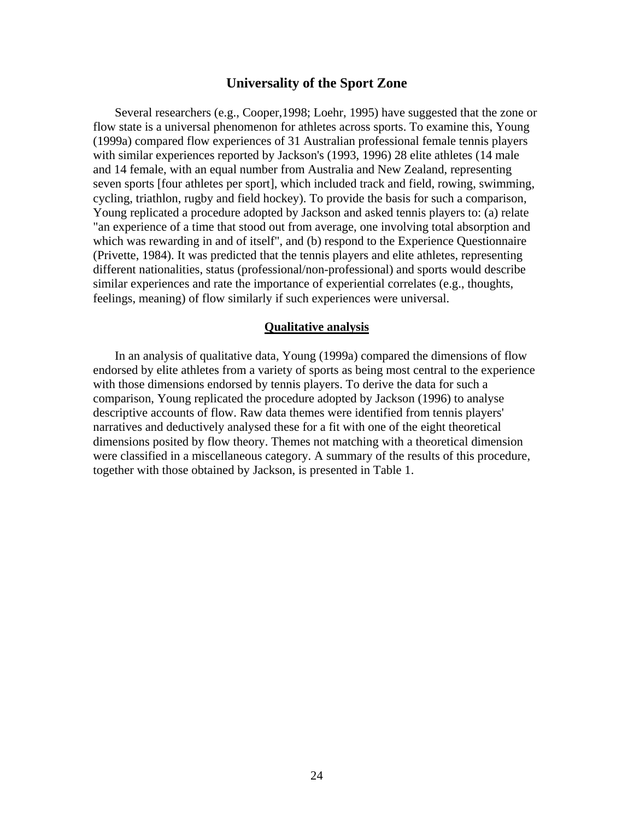#### **Universality of the Sport Zone**

 Several researchers (e.g., Cooper,1998; Loehr, 1995) have suggested that the zone or flow state is a universal phenomenon for athletes across sports. To examine this, Young (1999a) compared flow experiences of 31 Australian professional female tennis players with similar experiences reported by Jackson's (1993, 1996) 28 elite athletes (14 male and 14 female, with an equal number from Australia and New Zealand, representing seven sports [four athletes per sport], which included track and field, rowing, swimming, cycling, triathlon, rugby and field hockey). To provide the basis for such a comparison, Young replicated a procedure adopted by Jackson and asked tennis players to: (a) relate "an experience of a time that stood out from average, one involving total absorption and which was rewarding in and of itself", and (b) respond to the Experience Questionnaire (Privette, 1984). It was predicted that the tennis players and elite athletes, representing different nationalities, status (professional/non-professional) and sports would describe similar experiences and rate the importance of experiential correlates (e.g., thoughts, feelings, meaning) of flow similarly if such experiences were universal.

#### **Qualitative analysis**

 In an analysis of qualitative data, Young (1999a) compared the dimensions of flow endorsed by elite athletes from a variety of sports as being most central to the experience with those dimensions endorsed by tennis players. To derive the data for such a comparison, Young replicated the procedure adopted by Jackson (1996) to analyse descriptive accounts of flow. Raw data themes were identified from tennis players' narratives and deductively analysed these for a fit with one of the eight theoretical dimensions posited by flow theory. Themes not matching with a theoretical dimension were classified in a miscellaneous category. A summary of the results of this procedure, together with those obtained by Jackson, is presented in Table 1.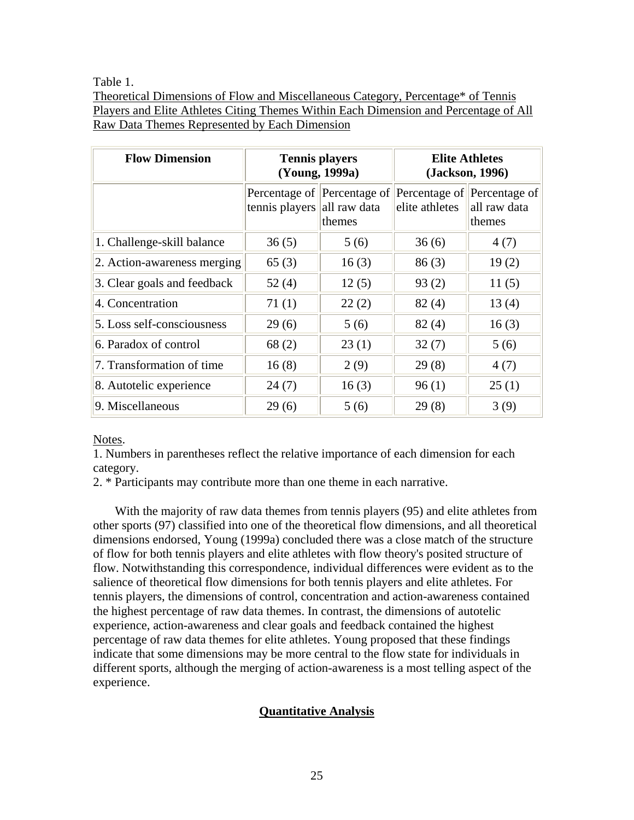Table 1.

Theoretical Dimensions of Flow and Miscellaneous Category, Percentage\* of Tennis Players and Elite Athletes Citing Themes Within Each Dimension and Percentage of All Raw Data Themes Represented by Each Dimension

| <b>Flow Dimension</b>       | <b>Tennis players</b><br>(Young, 1999a) |                                       | <b>Elite Athletes</b><br>(Jackson, 1996) |                                                       |
|-----------------------------|-----------------------------------------|---------------------------------------|------------------------------------------|-------------------------------------------------------|
|                             | tennis players all raw data             | Percentage of Percentage of<br>themes | elite athletes                           | Percentage of Percentage of<br>all raw data<br>themes |
| 1. Challenge-skill balance  | 36(5)                                   | 5(6)                                  | 36(6)                                    | 4(7)                                                  |
| 2. Action-awareness merging | 65(3)                                   | 16(3)                                 | 86(3)                                    | 19(2)                                                 |
| 3. Clear goals and feedback | 52(4)                                   | 12(5)                                 | 93(2)                                    | 11(5)                                                 |
| 4. Concentration            | 71(1)                                   | 22(2)                                 | 82(4)                                    | 13(4)                                                 |
| 5. Loss self-consciousness  | 29(6)                                   | 5(6)                                  | 82(4)                                    | 16(3)                                                 |
| 6. Paradox of control       | 68(2)                                   | 23(1)                                 | 32(7)                                    | 5(6)                                                  |
| 7. Transformation of time   | 16(8)                                   | 2(9)                                  | 29(8)                                    | 4(7)                                                  |
| 8. Autotelic experience     | 24(7)                                   | 16(3)                                 | 96(1)                                    | 25(1)                                                 |
| 9. Miscellaneous            | 29(6)                                   | 5(6)                                  | 29(8)                                    | 3(9)                                                  |

Notes.

1. Numbers in parentheses reflect the relative importance of each dimension for each category.

2. \* Participants may contribute more than one theme in each narrative.

 With the majority of raw data themes from tennis players (95) and elite athletes from other sports (97) classified into one of the theoretical flow dimensions, and all theoretical dimensions endorsed, Young (1999a) concluded there was a close match of the structure of flow for both tennis players and elite athletes with flow theory's posited structure of flow. Notwithstanding this correspondence, individual differences were evident as to the salience of theoretical flow dimensions for both tennis players and elite athletes. For tennis players, the dimensions of control, concentration and action-awareness contained the highest percentage of raw data themes. In contrast, the dimensions of autotelic experience, action-awareness and clear goals and feedback contained the highest percentage of raw data themes for elite athletes. Young proposed that these findings indicate that some dimensions may be more central to the flow state for individuals in different sports, although the merging of action-awareness is a most telling aspect of the experience.

## **Quantitative Analysis**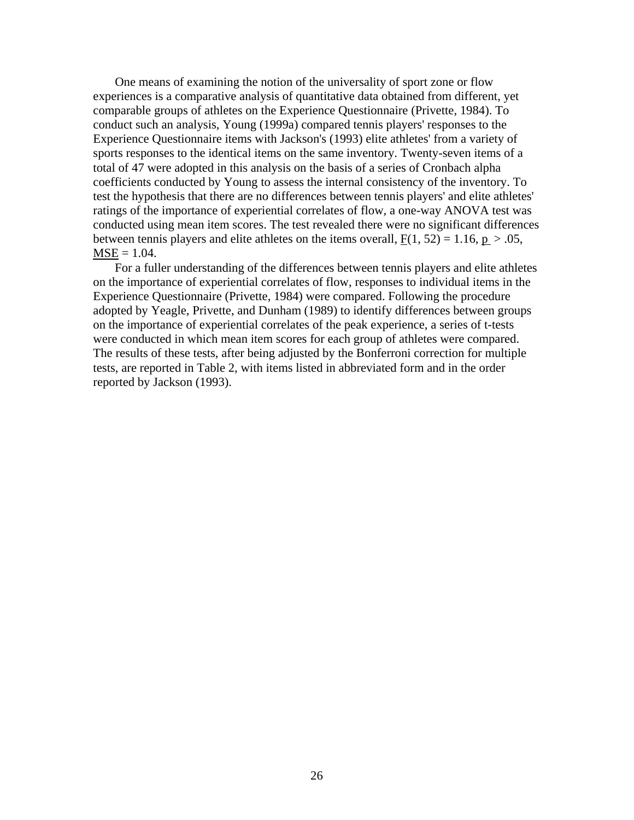One means of examining the notion of the universality of sport zone or flow experiences is a comparative analysis of quantitative data obtained from different, yet comparable groups of athletes on the Experience Questionnaire (Privette, 1984). To conduct such an analysis, Young (1999a) compared tennis players' responses to the Experience Questionnaire items with Jackson's (1993) elite athletes' from a variety of sports responses to the identical items on the same inventory. Twenty-seven items of a total of 47 were adopted in this analysis on the basis of a series of Cronbach alpha coefficients conducted by Young to assess the internal consistency of the inventory. To test the hypothesis that there are no differences between tennis players' and elite athletes' ratings of the importance of experiential correlates of flow, a one-way ANOVA test was conducted using mean item scores. The test revealed there were no significant differences between tennis players and elite athletes on the items overall,  $F(1, 52) = 1.16$ ,  $p > .05$ ,  $MSE = 1.04$ .

 For a fuller understanding of the differences between tennis players and elite athletes on the importance of experiential correlates of flow, responses to individual items in the Experience Questionnaire (Privette, 1984) were compared. Following the procedure adopted by Yeagle, Privette, and Dunham (1989) to identify differences between groups on the importance of experiential correlates of the peak experience, a series of t-tests were conducted in which mean item scores for each group of athletes were compared. The results of these tests, after being adjusted by the Bonferroni correction for multiple tests, are reported in Table 2, with items listed in abbreviated form and in the order reported by Jackson (1993).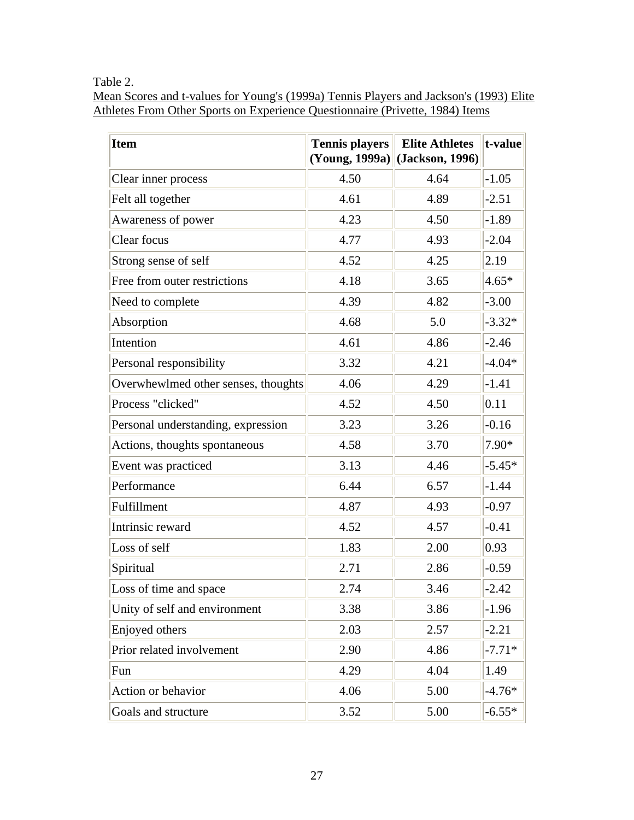Table 2.

Mean Scores and t-values for Young's (1999a) Tennis Players and Jackson's (1993) Elite Athletes From Other Sports on Experience Questionnaire (Privette, 1984) Items

| <b>Item</b>                         | <b>Tennis players</b><br>(Young, 1999a) | <b>Elite Athletes</b><br>(Jackson, 1996) | t-value  |
|-------------------------------------|-----------------------------------------|------------------------------------------|----------|
| Clear inner process                 | 4.50                                    | 4.64                                     | $-1.05$  |
| Felt all together                   | 4.61                                    | 4.89                                     | $-2.51$  |
| Awareness of power                  | 4.23                                    | 4.50                                     | $-1.89$  |
| Clear focus                         | 4.77                                    | 4.93                                     | $-2.04$  |
| Strong sense of self                | 4.52                                    | 4.25                                     | 2.19     |
| Free from outer restrictions        | 4.18                                    | 3.65                                     | $4.65*$  |
| Need to complete                    | 4.39                                    | 4.82                                     | $-3.00$  |
| Absorption                          | 4.68                                    | 5.0                                      | $-3.32*$ |
| Intention                           | 4.61                                    | 4.86                                     | $-2.46$  |
| Personal responsibility             | 3.32                                    | 4.21                                     | $-4.04*$ |
| Overwhewlmed other senses, thoughts | 4.06                                    | 4.29                                     | $-1.41$  |
| Process "clicked"                   | 4.52                                    | 4.50                                     | 0.11     |
| Personal understanding, expression  | 3.23                                    | 3.26                                     | $-0.16$  |
| Actions, thoughts spontaneous       | 4.58                                    | 3.70                                     | 7.90*    |
| Event was practiced                 | 3.13                                    | 4.46                                     | $-5.45*$ |
| Performance                         | 6.44                                    | 6.57                                     | $-1.44$  |
| Fulfillment                         | 4.87                                    | 4.93                                     | $-0.97$  |
| Intrinsic reward                    | 4.52                                    | 4.57                                     | $-0.41$  |
| Loss of self                        | 1.83                                    | 2.00                                     | 0.93     |
| Spiritual                           | 2.71                                    | 2.86                                     | $-0.59$  |
| Loss of time and space              | 2.74                                    | 3.46                                     | $-2.42$  |
| Unity of self and environment       | 3.38                                    | 3.86                                     | $-1.96$  |
| Enjoyed others                      | 2.03                                    | 2.57                                     | $-2.21$  |
| Prior related involvement           | 2.90                                    | 4.86                                     | $-7.71*$ |
| Fun                                 | 4.29                                    | 4.04                                     | 1.49     |
| Action or behavior                  | 4.06                                    | 5.00                                     | $-4.76*$ |
| Goals and structure                 | 3.52                                    | 5.00                                     | $-6.55*$ |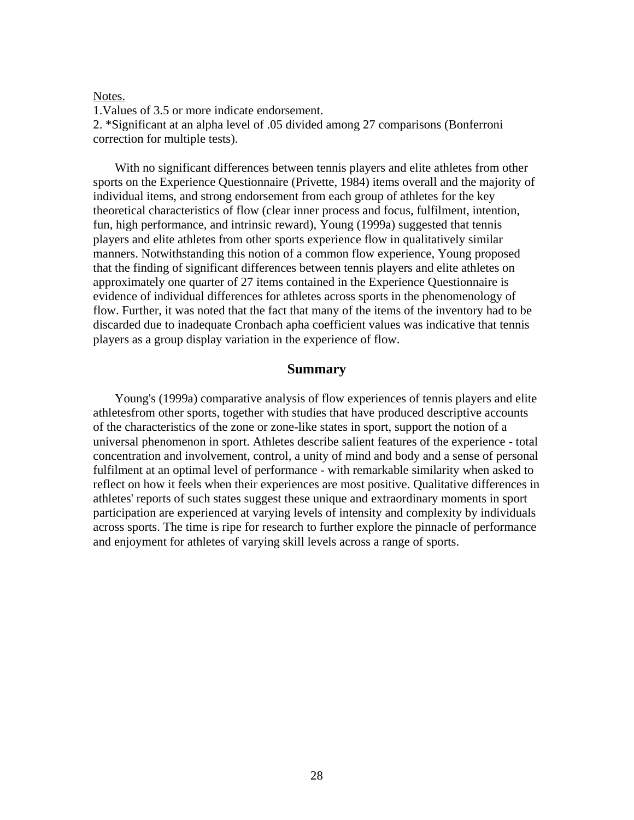Notes.

1.Values of 3.5 or more indicate endorsement.

2. \*Significant at an alpha level of .05 divided among 27 comparisons (Bonferroni correction for multiple tests).

 With no significant differences between tennis players and elite athletes from other sports on the Experience Questionnaire (Privette, 1984) items overall and the majority of individual items, and strong endorsement from each group of athletes for the key theoretical characteristics of flow (clear inner process and focus, fulfilment, intention, fun, high performance, and intrinsic reward), Young (1999a) suggested that tennis players and elite athletes from other sports experience flow in qualitatively similar manners. Notwithstanding this notion of a common flow experience, Young proposed that the finding of significant differences between tennis players and elite athletes on approximately one quarter of 27 items contained in the Experience Questionnaire is evidence of individual differences for athletes across sports in the phenomenology of flow. Further, it was noted that the fact that many of the items of the inventory had to be discarded due to inadequate Cronbach apha coefficient values was indicative that tennis players as a group display variation in the experience of flow.

#### **Summary**

 Young's (1999a) comparative analysis of flow experiences of tennis players and elite athletesfrom other sports, together with studies that have produced descriptive accounts of the characteristics of the zone or zone-like states in sport, support the notion of a universal phenomenon in sport. Athletes describe salient features of the experience - total concentration and involvement, control, a unity of mind and body and a sense of personal fulfilment at an optimal level of performance - with remarkable similarity when asked to reflect on how it feels when their experiences are most positive. Qualitative differences in athletes' reports of such states suggest these unique and extraordinary moments in sport participation are experienced at varying levels of intensity and complexity by individuals across sports. The time is ripe for research to further explore the pinnacle of performance and enjoyment for athletes of varying skill levels across a range of sports.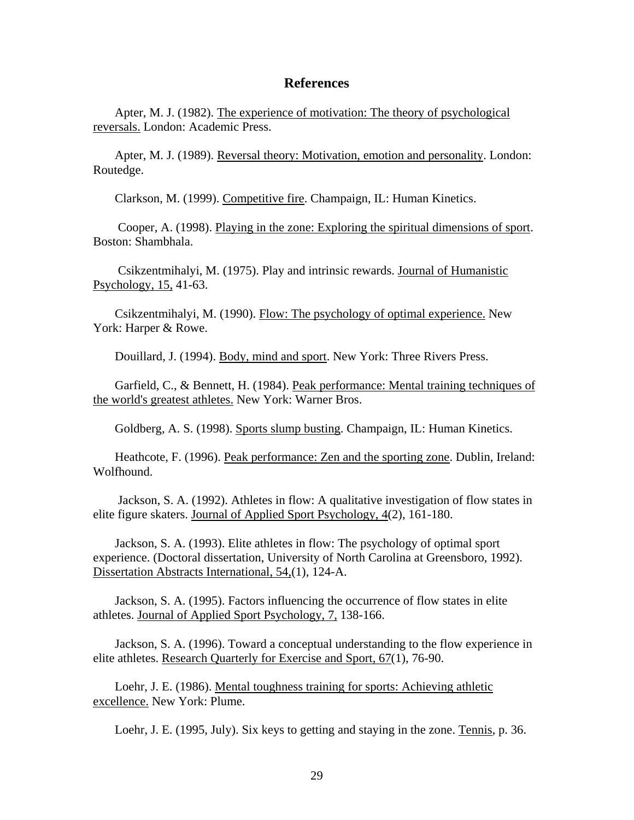#### **References**

 Apter, M. J. (1982). The experience of motivation: The theory of psychological reversals. London: Academic Press.

 Apter, M. J. (1989). Reversal theory: Motivation, emotion and personality. London: Routedge.

Clarkson, M. (1999). Competitive fire. Champaign, IL: Human Kinetics.

 Cooper, A. (1998). Playing in the zone: Exploring the spiritual dimensions of sport. Boston: Shambhala.

 Csikzentmihalyi, M. (1975). Play and intrinsic rewards. Journal of Humanistic Psychology, 15, 41-63.

 Csikzentmihalyi, M. (1990). Flow: The psychology of optimal experience. New York: Harper & Rowe.

Douillard, J. (1994). Body, mind and sport. New York: Three Rivers Press.

Garfield, C., & Bennett, H. (1984). <u>Peak performance: Mental training techniques of</u> the world's greatest athletes. New York: Warner Bros.

Goldberg, A. S. (1998). Sports slump busting. Champaign, IL: Human Kinetics.

 Heathcote, F. (1996). Peak performance: Zen and the sporting zone. Dublin, Ireland: Wolfhound.

 Jackson, S. A. (1992). Athletes in flow: A qualitative investigation of flow states in elite figure skaters. Journal of Applied Sport Psychology, 4(2), 161-180.

 Jackson, S. A. (1993). Elite athletes in flow: The psychology of optimal sport experience. (Doctoral dissertation, University of North Carolina at Greensboro, 1992). Dissertation Abstracts International, 54,(1), 124-A.

 Jackson, S. A. (1995). Factors influencing the occurrence of flow states in elite athletes. Journal of Applied Sport Psychology, 7, 138-166.

 Jackson, S. A. (1996). Toward a conceptual understanding to the flow experience in elite athletes. Research Quarterly for Exercise and Sport, 67(1), 76-90.

 Loehr, J. E. (1986). Mental toughness training for sports: Achieving athletic excellence. New York: Plume.

Loehr, J. E. (1995, July). Six keys to getting and staying in the zone. Tennis, p. 36.